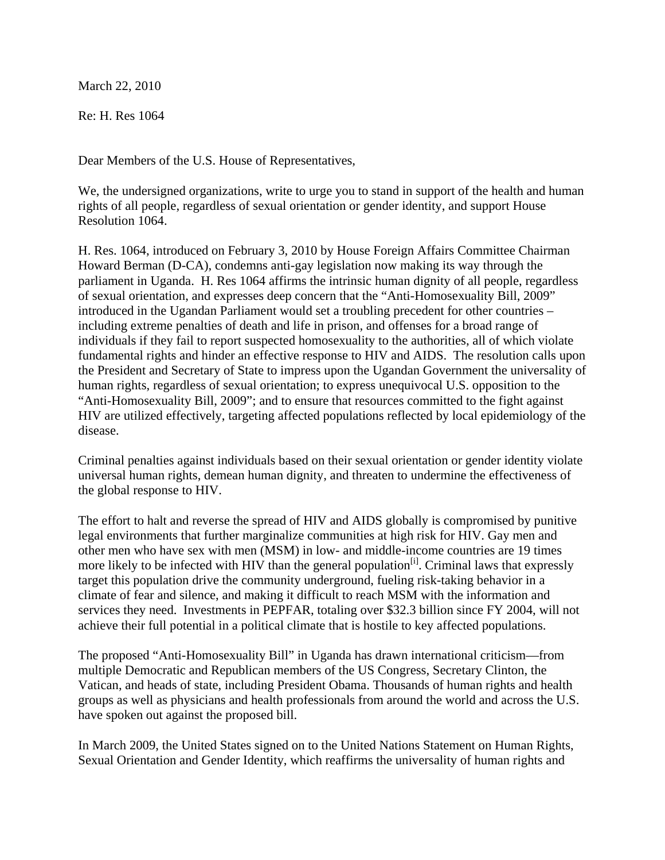March 22, 2010

Re: H. Res 1064

Dear Members of the U.S. House of Representatives,

We, the undersigned organizations, write to urge you to stand in support of the health and human rights of all people, regardless of sexual orientation or gender identity, and support House Resolution 1064.

H. Res. 1064, introduced on February 3, 2010 by House Foreign Affairs Committee Chairman Howard Berman (D-CA), condemns anti-gay legislation now making its way through the parliament in Uganda. H. Res 1064 affirms the intrinsic human dignity of all people, regardless of sexual orientation, and expresses deep concern that the "Anti-Homosexuality Bill, 2009" introduced in the Ugandan Parliament would set a troubling precedent for other countries – including extreme penalties of death and life in prison, and offenses for a broad range of individuals if they fail to report suspected homosexuality to the authorities, all of which violate fundamental rights and hinder an effective response to HIV and AIDS. The resolution calls upon the President and Secretary of State to impress upon the Ugandan Government the universality of human rights, regardless of sexual orientation; to express unequivocal U.S. opposition to the "Anti-Homosexuality Bill, 2009"; and to ensure that resources committed to the fight against HIV are utilized effectively, targeting affected populations reflected by local epidemiology of the disease.

Criminal penalties against individuals based on their sexual orientation or gender identity violate universal human rights, demean human dignity, and threaten to undermine the effectiveness of the global response to HIV.

The effort to halt and reverse the spread of HIV and AIDS globally is compromised by punitive legal environments that further marginalize communities at high risk for HIV. Gay men and other men who have sex with men (MSM) in low- and middle-income countries are 19 times more likely to be infected with HIV than the general population<sup>[i]</sup>. Criminal laws that expressly target this population drive the community underground, fueling risk-taking behavior in a climate of fear and silence, and making it difficult to reach MSM with the information and services they need. Investments in PEPFAR, totaling over \$32.3 billion since FY 2004, will not achieve their full potential in a political climate that is hostile to key affected populations.

The proposed "Anti-Homosexuality Bill" in Uganda has drawn international criticism—from multiple Democratic and Republican members of the US Congress, Secretary Clinton, the Vatican, and heads of state, including President Obama. Thousands of human rights and health groups as well as physicians and health professionals from around the world and across the U.S. have spoken out against the proposed bill.

In March 2009, the United States signed on to the United Nations Statement on Human Rights, Sexual Orientation and Gender Identity, which reaffirms the universality of human rights and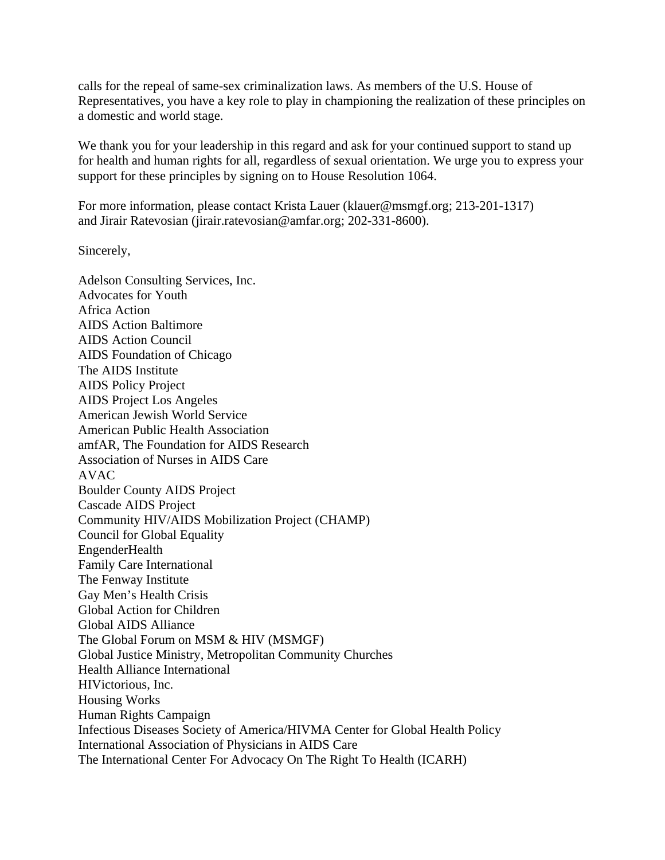calls for the repeal of same-sex criminalization laws. As members of the U.S. House of Representatives, you have a key role to play in championing the realization of these principles on a domestic and world stage.

We thank you for your leadership in this regard and ask for your continued support to stand up for health and human rights for all, regardless of sexual orientation. We urge you to express your support for these principles by signing on to House Resolution 1064.

For more information, please contact Krista Lauer (klauer@msmgf.org; 213-201-1317) and Jirair Ratevosian (jirair.ratevosian@amfar.org; 202-331-8600).

Sincerely,

Adelson Consulting Services, Inc. Advocates for Youth Africa Action AIDS Action Baltimore AIDS Action Council AIDS Foundation of Chicago The AIDS Institute AIDS Policy Project AIDS Project Los Angeles American Jewish World Service American Public Health Association amfAR, The Foundation for AIDS Research Association of Nurses in AIDS Care AVAC Boulder County AIDS Project Cascade AIDS Project Community HIV/AIDS Mobilization Project (CHAMP) Council for Global Equality EngenderHealth Family Care International The Fenway Institute Gay Men's Health Crisis Global Action for Children Global AIDS Alliance The Global Forum on MSM & HIV (MSMGF) Global Justice Ministry, Metropolitan Community Churches Health Alliance International HIVictorious, Inc. Housing Works Human Rights Campaign Infectious Diseases Society of America/HIVMA Center for Global Health Policy International Association of Physicians in AIDS Care The International Center For Advocacy On The Right To Health (ICARH)